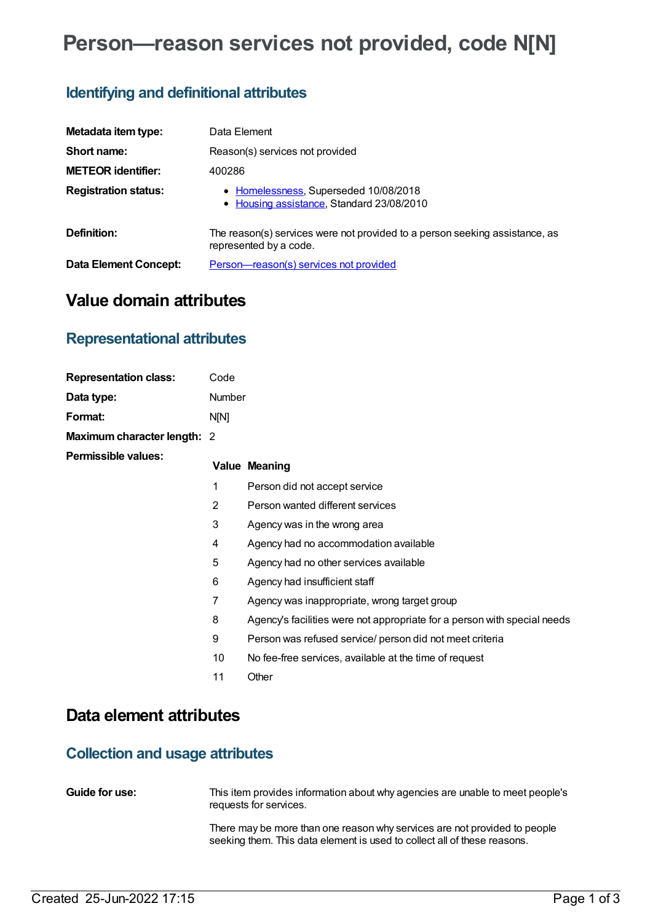# **Person—reason services not provided, code N[N]**

### **Identifying and definitional attributes**

| Metadata item type:         | Data Element                                                                                          |  |  |
|-----------------------------|-------------------------------------------------------------------------------------------------------|--|--|
| Short name:                 | Reason(s) services not provided                                                                       |  |  |
| <b>METEOR identifier:</b>   | 400286                                                                                                |  |  |
| <b>Registration status:</b> | • Homelessness, Superseded 10/08/2018<br>• Housing assistance, Standard 23/08/2010                    |  |  |
| Definition:                 | The reason(s) services were not provided to a person seeking assistance, as<br>represented by a code. |  |  |
| Data Element Concept:       | <u>Person-reason(s) services not provided</u>                                                         |  |  |

### **Value domain attributes**

### **Representational attributes**

| <b>Representation class:</b> | Code   |                                                                          |
|------------------------------|--------|--------------------------------------------------------------------------|
|                              |        |                                                                          |
| Data type:                   | Number |                                                                          |
| <b>Format:</b>               | N[N]   |                                                                          |
| Maximum character length: 2  |        |                                                                          |
| Permissible values:          |        | <b>Value Meaning</b>                                                     |
|                              | 1      | Person did not accept service                                            |
|                              | 2      | Person wanted different services                                         |
|                              | 3      | Agency was in the wrong area                                             |
|                              | 4      | Agency had no accommodation available                                    |
|                              | 5      | Agency had no other services available                                   |
|                              | 6      | Agency had insufficient staff                                            |
|                              | 7      | Agency was inappropriate, wrong target group                             |
|                              | 8      | Agency's facilities were not appropriate for a person with special needs |
|                              | 9      | Person was refused service/ person did not meet criteria                 |
|                              | 10     | No fee-free services, available at the time of request                   |
|                              | 11     | Other                                                                    |

## **Data element attributes**

### **Collection and usage attributes**

| <b>Guide for use:</b> | This item provides information about why agencies are unable to meet people's |
|-----------------------|-------------------------------------------------------------------------------|
|                       | requests for services.                                                        |

There may be more than one reason why services are not provided to people seeking them. This data element is used to collect all of these reasons.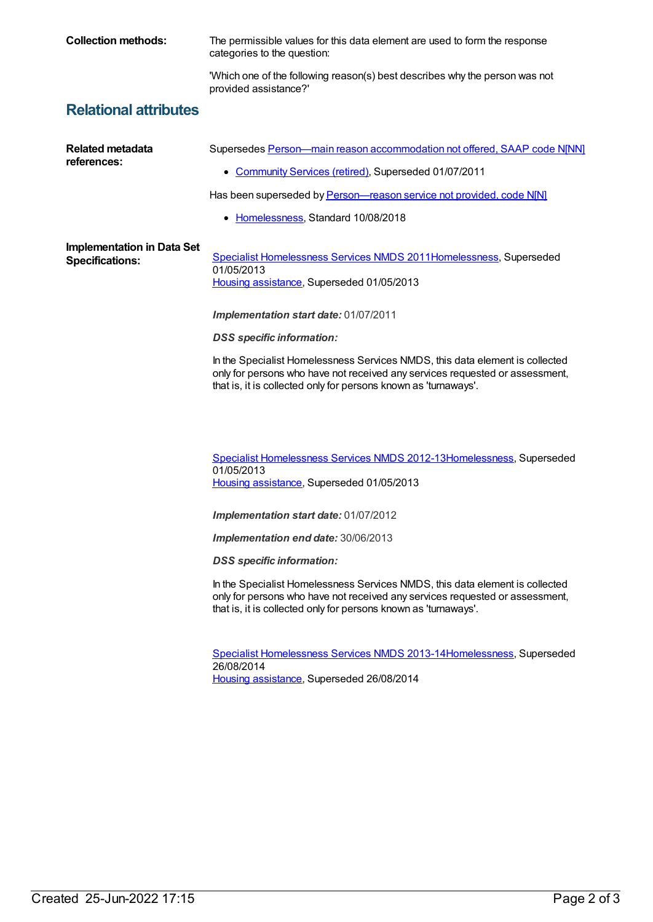**Collection methods:** The permissible values for this data element are used to form the response categories to the question: 'Which one of the following reason(s) best describes why the person was not provided assistance?' **Relational attributes Related metadata references:** Supersedes Person-main reason [accommodation](https://meteor.aihw.gov.au/content/332964) not offered, SAAP code N[NN] • [Community](https://meteor.aihw.gov.au/RegistrationAuthority/1) Services (retired), Superseded 01/07/2011 Has been superseded by **Person**—reason service not provided, code N[N] • [Homelessness](https://meteor.aihw.gov.au/RegistrationAuthority/14), Standard 10/08/2018 **Implementation in Data Set Specifications:** Specialist [Homelessness](https://meteor.aihw.gov.au/content/398238) Services NMDS 201[1Homelessness](https://meteor.aihw.gov.au/RegistrationAuthority/14), Superseded 01/05/2013 Housing [assistance](https://meteor.aihw.gov.au/RegistrationAuthority/11), Superseded 01/05/2013 *Implementation start date:* 01/07/2011 *DSS specific information:* In the Specialist Homelessness Services NMDS, this data element is collected only for persons who have not received any services requested or assessment, that is, it is collected only for persons known as 'turnaways'. Specialist [Homelessness](https://meteor.aihw.gov.au/content/508954) Services NMDS 2012-1[3Homelessness](https://meteor.aihw.gov.au/RegistrationAuthority/14), Superseded 01/05/2013 Housing [assistance](https://meteor.aihw.gov.au/RegistrationAuthority/11), Superseded 01/05/2013 *Implementation start date:* 01/07/2012 *Implementation end date:* 30/06/2013 *DSS specific information:*

In the Specialist Homelessness Services NMDS, this data element is collected only for persons who have not received any services requested or assessment, that is, it is collected only for persons known as 'turnaways'.

Specialist [Homelessness](https://meteor.aihw.gov.au/content/505626) Services NMDS 2013-1[4Homelessness](https://meteor.aihw.gov.au/RegistrationAuthority/14), Superseded 26/08/2014 Housing [assistance](https://meteor.aihw.gov.au/RegistrationAuthority/11), Superseded 26/08/2014